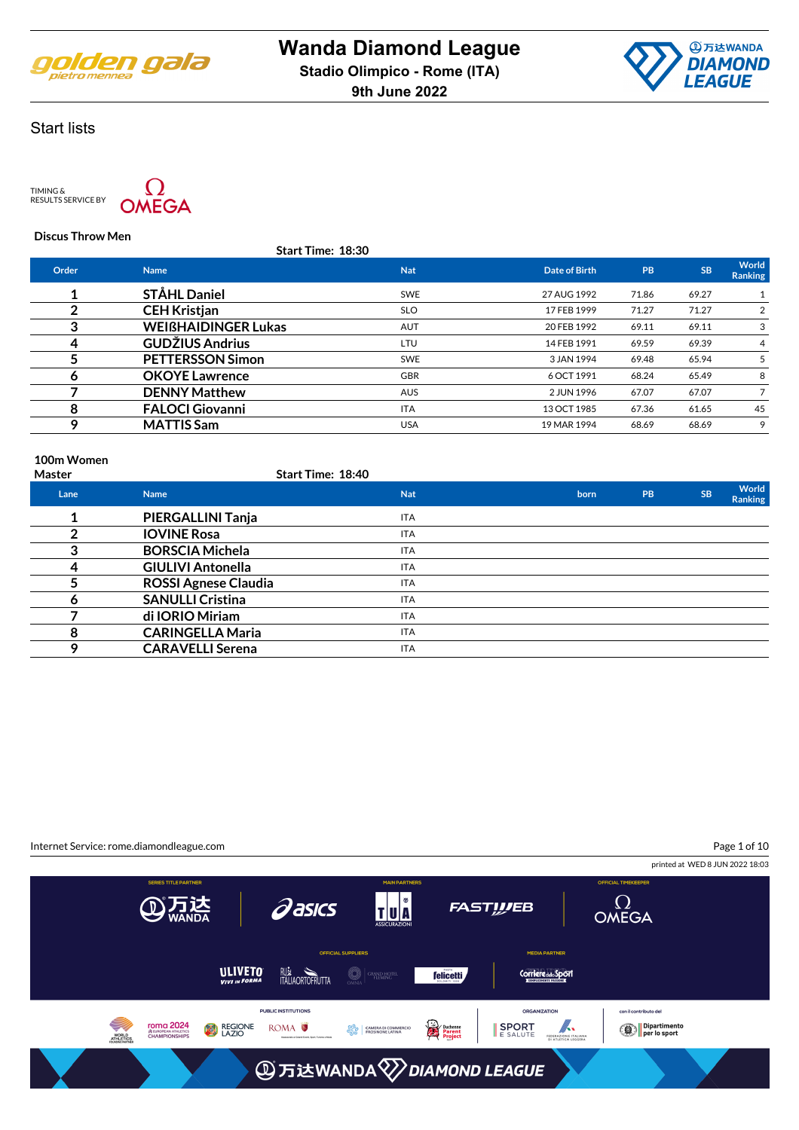



TIMING & RESULTS SERVICE BY



#### **Discus Throw Men**

|       | Start Time: 18:30          |            |               |           |           |                  |
|-------|----------------------------|------------|---------------|-----------|-----------|------------------|
| Order | <b>Name</b>                | <b>Nat</b> | Date of Birth | <b>PB</b> | <b>SB</b> | World<br>Ranking |
|       | <b>STÅHL Daniel</b>        | <b>SWE</b> | 27 AUG 1992   | 71.86     | 69.27     |                  |
|       | <b>CEH Kristjan</b>        | <b>SLO</b> | 17 FEB 1999   | 71.27     | 71.27     |                  |
| 3     | <b>WEIGHAIDINGER Lukas</b> | <b>AUT</b> | 20 FEB 1992   | 69.11     | 69.11     |                  |
| 4     | <b>GUDŽIUS Andrius</b>     | LTU        | 14 FEB 1991   | 69.59     | 69.39     | 4                |
|       | <b>PETTERSSON Simon</b>    | <b>SWE</b> | 3 JAN 1994    | 69.48     | 65.94     |                  |
| 6     | <b>OKOYE Lawrence</b>      | <b>GBR</b> | 6 OCT 1991    | 68.24     | 65.49     | 8                |
|       | <b>DENNY Matthew</b>       | <b>AUS</b> | 2 JUN 1996    | 67.07     | 67.07     |                  |
| 8     | <b>FALOCI Giovanni</b>     | <b>ITA</b> | 13 OCT 1985   | 67.36     | 61.65     | 45               |
| 9     | <b>MATTIS Sam</b>          | <b>USA</b> | 19 MAR 1994   | 68.69     | 68.69     | 9                |
|       |                            |            |               |           |           |                  |

#### **100m Women**

| <b>Master</b> |                             | <b>Start Time: 18:40</b> |      |    |           |                         |
|---------------|-----------------------------|--------------------------|------|----|-----------|-------------------------|
| Lane          | <b>Name</b>                 | <b>Nat</b>               | born | PB | <b>SB</b> | World<br><b>Ranking</b> |
|               | PIERGALLINI Tanja           | <b>ITA</b>               |      |    |           |                         |
|               | <b>IOVINE Rosa</b>          | <b>ITA</b>               |      |    |           |                         |
| 3             | <b>BORSCIA Michela</b>      | <b>ITA</b>               |      |    |           |                         |
| 4             | <b>GIULIVI Antonella</b>    | <b>ITA</b>               |      |    |           |                         |
|               | <b>ROSSI Agnese Claudia</b> | <b>ITA</b>               |      |    |           |                         |
| Ô             | <b>SANULLI Cristina</b>     | <b>ITA</b>               |      |    |           |                         |
|               | di IORIO Miriam             | ITA                      |      |    |           |                         |
| 8             | <b>CARINGELLA Maria</b>     | <b>ITA</b>               |      |    |           |                         |
| Q             | <b>CARAVELLI Serena</b>     | <b>ITA</b>               |      |    |           |                         |

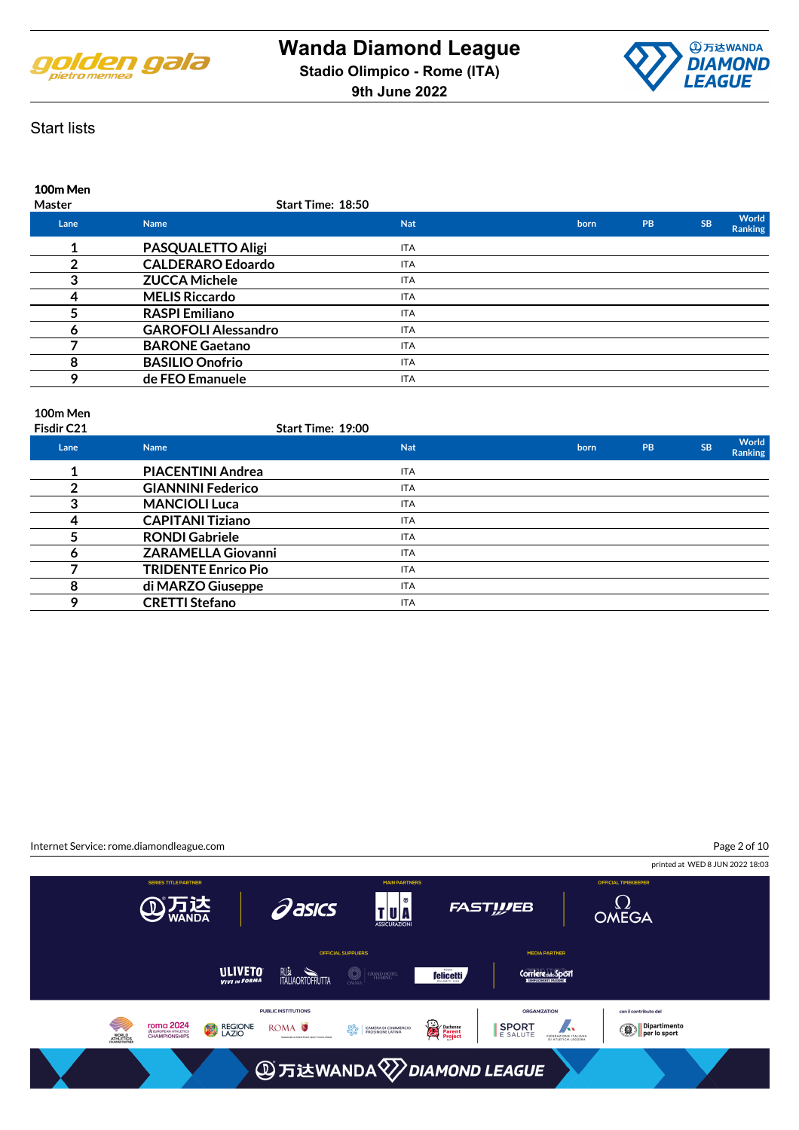



### **100m Men Master Start Time: 18:50 Lane Name Nat born PB SB World Ranki 1 PASQUALETTO Aligi ITA 2 CALDERARO Edoardo** ITA **3 ZUCCA Michele ITA 4 MELIS Riccardo ITA 5 RASPI Emiliano** ITA **6 GAROFOLI Alessandro ITA 7 BARONE Gaetano ITA 8 BASILIO Onofrio ITA 9 de FEO Emanuele ITA**

### **100m Men**

| Fisdir C21 | Start Time: 19:00          |            |      |    |           |                                |
|------------|----------------------------|------------|------|----|-----------|--------------------------------|
| Lane       | <b>Name</b>                | <b>Nat</b> | born | PB | <b>SB</b> | <b>World</b><br><b>Ranking</b> |
|            | <b>PIACENTINI Andrea</b>   | <b>ITA</b> |      |    |           |                                |
| ◠          | <b>GIANNINI Federico</b>   | <b>ITA</b> |      |    |           |                                |
| 3          | <b>MANCIOLI Luca</b>       | <b>ITA</b> |      |    |           |                                |
| 4          | <b>CAPITANI Tiziano</b>    | <b>ITA</b> |      |    |           |                                |
|            | <b>RONDI Gabriele</b>      | <b>ITA</b> |      |    |           |                                |
| 6          | <b>ZARAMELLA Giovanni</b>  | <b>ITA</b> |      |    |           |                                |
|            | <b>TRIDENTE Enrico Pio</b> | <b>ITA</b> |      |    |           |                                |
| 8          | di MARZO Giuseppe          | <b>ITA</b> |      |    |           |                                |
| О          | <b>CRETTI Stefano</b>      | <b>ITA</b> |      |    |           |                                |

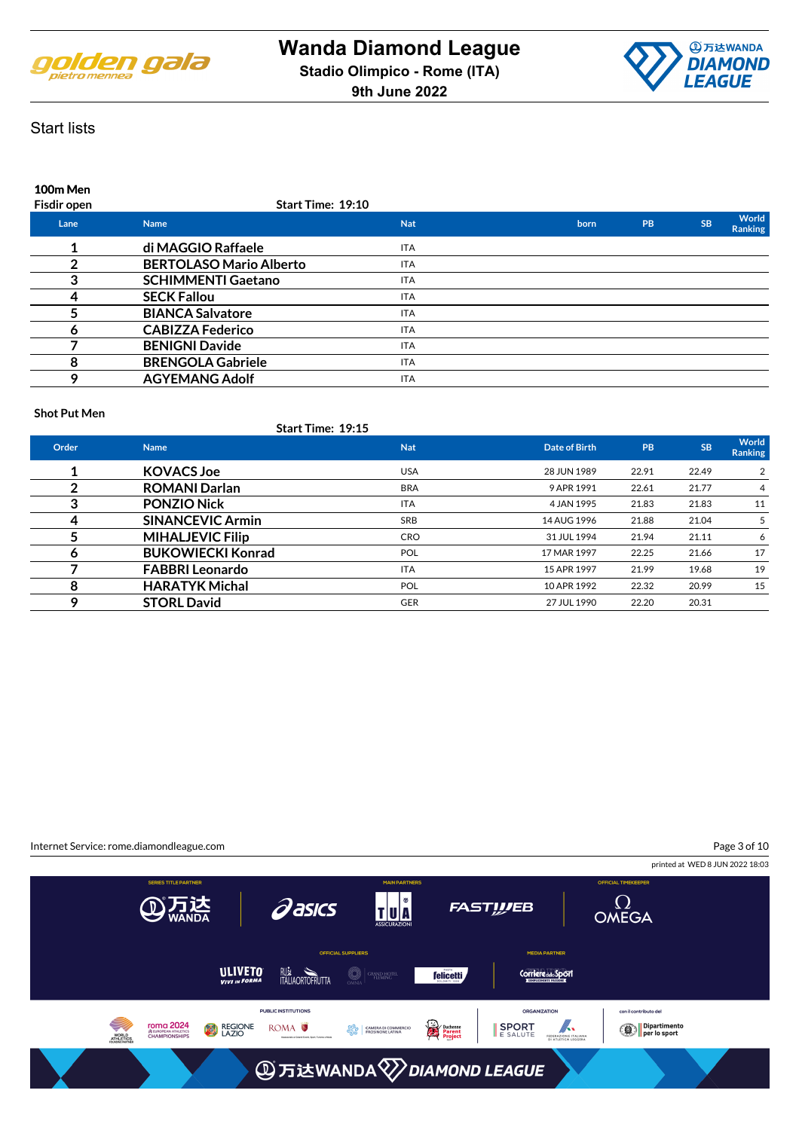



### **100m Men Fisdir open Start Time: 19:10 Lane Name Nat born PB SB World Ranki 1 di MAGGIO Raffaele ITA 2 BERTOLASO Mario Alberto ITA 3 SCHIMMENTI Gaetano ITA 4 SECK Fallou ITA 5 BIANCA Salvatore ITA 6 CABIZZA Federico ITA 7 BENIGNI Davide ITA 8 BRENGOLA Gabriele ITA 9 AGYEMANG Adolf ITA**

#### **Shot Put Men**

|       | Start Time: 19:15        |            |               |       |           |                  |
|-------|--------------------------|------------|---------------|-------|-----------|------------------|
| Order | <b>Name</b>              | <b>Nat</b> | Date of Birth | PB    | <b>SB</b> | World<br>Ranking |
|       | <b>KOVACS Joe</b>        | <b>USA</b> | 28 JUN 1989   | 22.91 | 22.49     | 2                |
| っ     | <b>ROMANI Darlan</b>     | <b>BRA</b> | 9 APR 1991    | 22.61 | 21.77     | 4                |
| 3     | <b>PONZIO Nick</b>       | <b>ITA</b> | 4 JAN 1995    | 21.83 | 21.83     | 11               |
| 4     | <b>SINANCEVIC Armin</b>  | <b>SRB</b> | 14 AUG 1996   | 21.88 | 21.04     | 5                |
|       | <b>MIHALJEVIC Filip</b>  | <b>CRO</b> | 31 JUL 1994   | 21.94 | 21.11     | 6                |
| 6     | <b>BUKOWIECKI Konrad</b> | <b>POL</b> | 17 MAR 1997   | 22.25 | 21.66     | 17               |
|       | <b>FABBRI Leonardo</b>   | <b>ITA</b> | 15 APR 1997   | 21.99 | 19.68     | 19               |
| 8     | <b>HARATYK Michal</b>    | <b>POL</b> | 10 APR 1992   | 22.32 | 20.99     | 15               |
| Q     | <b>STORL David</b>       | <b>GER</b> | 27 JUL 1990   | 22.20 | 20.31     |                  |

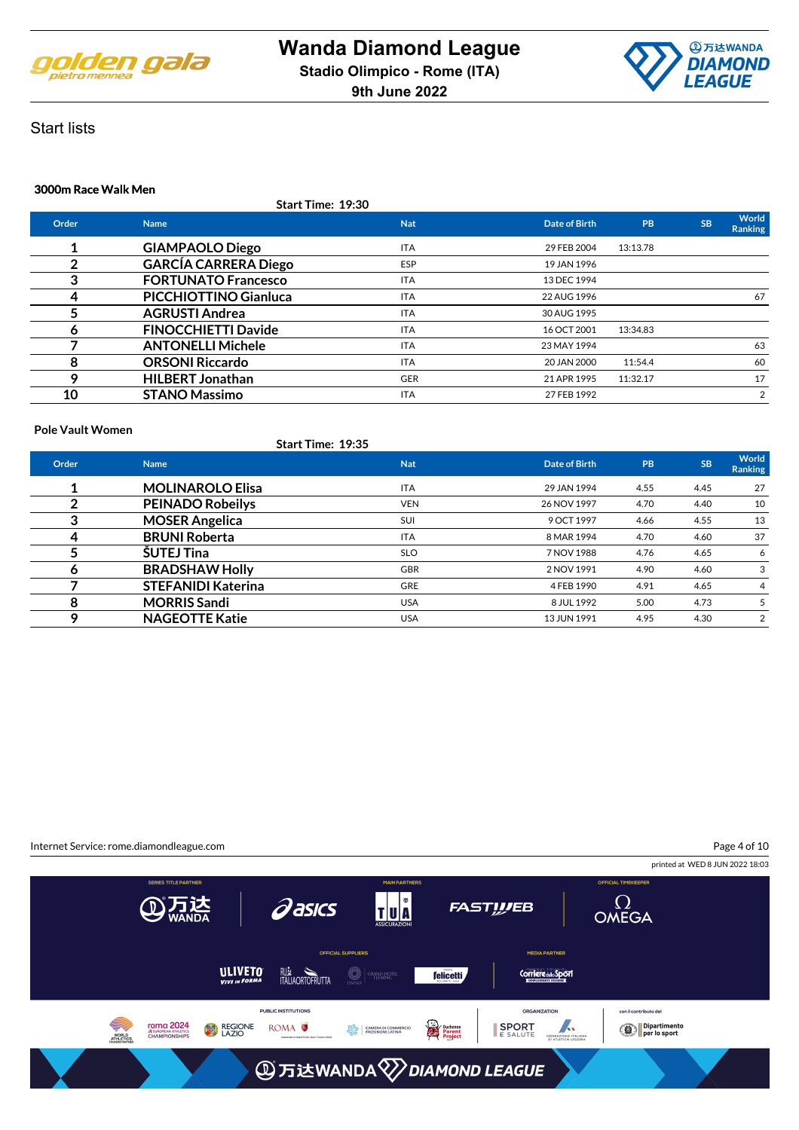



### **3000m Race Walk Men**

|              | Start Time: 19:30            |            |               |           |           |                         |
|--------------|------------------------------|------------|---------------|-----------|-----------|-------------------------|
| Order        | <b>Name</b>                  | <b>Nat</b> | Date of Birth | <b>PB</b> | <b>SB</b> | World<br><b>Ranking</b> |
|              | <b>GIAMPAOLO Diego</b>       | <b>ITA</b> | 29 FEB 2004   | 13:13.78  |           |                         |
| 2            | <b>GARCÍA CARRERA Diego</b>  | <b>ESP</b> | 19 JAN 1996   |           |           |                         |
| 3            | <b>FORTUNATO Francesco</b>   | <b>ITA</b> | 13 DEC 1994   |           |           |                         |
| 4            | <b>PICCHIOTTINO Gianluca</b> | <b>ITA</b> | 22 AUG 1996   |           |           | 67                      |
| 5            | <b>AGRUSTI Andrea</b>        | <b>ITA</b> | 30 AUG 1995   |           |           |                         |
| <sub>n</sub> | <b>FINOCCHIETTI Davide</b>   | <b>ITA</b> | 16 OCT 2001   | 13:34.83  |           |                         |
|              | <b>ANTONELLI Michele</b>     | <b>ITA</b> | 23 MAY 1994   |           |           | 63                      |
| 8            | <b>ORSONI Riccardo</b>       | <b>ITA</b> | 20 JAN 2000   | 11:54.4   |           | 60                      |
| Q            | <b>HILBERT Jonathan</b>      | <b>GER</b> | 21 APR 1995   | 11:32.17  |           | 17                      |
| 10           | <b>STANO Massimo</b>         | <b>ITA</b> | 27 FEB 1992   |           |           | 2                       |

#### **Pole Vault Women**

| Start Time: 19:35 |  |
|-------------------|--|
|                   |  |

| Order | <b>Name</b>               | <b>Nat</b> | Date of Birth | <b>PB</b> | <b>SB</b> | World<br><b>Ranking</b> |
|-------|---------------------------|------------|---------------|-----------|-----------|-------------------------|
|       | <b>MOLINAROLO Elisa</b>   | <b>ITA</b> | 29 JAN 1994   | 4.55      | 4.45      | 27                      |
|       | <b>PEINADO Robeilys</b>   | <b>VEN</b> | 26 NOV 1997   | 4.70      | 4.40      | 10                      |
| 3     | <b>MOSER Angelica</b>     | SUI        | 9 OCT 1997    | 4.66      | 4.55      | 13                      |
| 4     | <b>BRUNI Roberta</b>      | <b>ITA</b> | 8 MAR 1994    | 4.70      | 4.60      | 37                      |
|       | <b>ŠUTEJ Tina</b>         | <b>SLO</b> | 7 NOV 1988    | 4.76      | 4.65      | 6                       |
| o     | <b>BRADSHAW Holly</b>     | <b>GBR</b> | 2 NOV 1991    | 4.90      | 4.60      | 3                       |
|       | <b>STEFANIDI Katerina</b> | <b>GRE</b> | 4 FEB 1990    | 4.91      | 4.65      | 4                       |
| 8     | <b>MORRIS Sandi</b>       | <b>USA</b> | 8 JUL 1992    | 5.00      | 4.73      |                         |
| o     | <b>NAGEOTTE Katie</b>     | <b>USA</b> | 13 JUN 1991   | 4.95      | 4.30      | $\overline{2}$          |

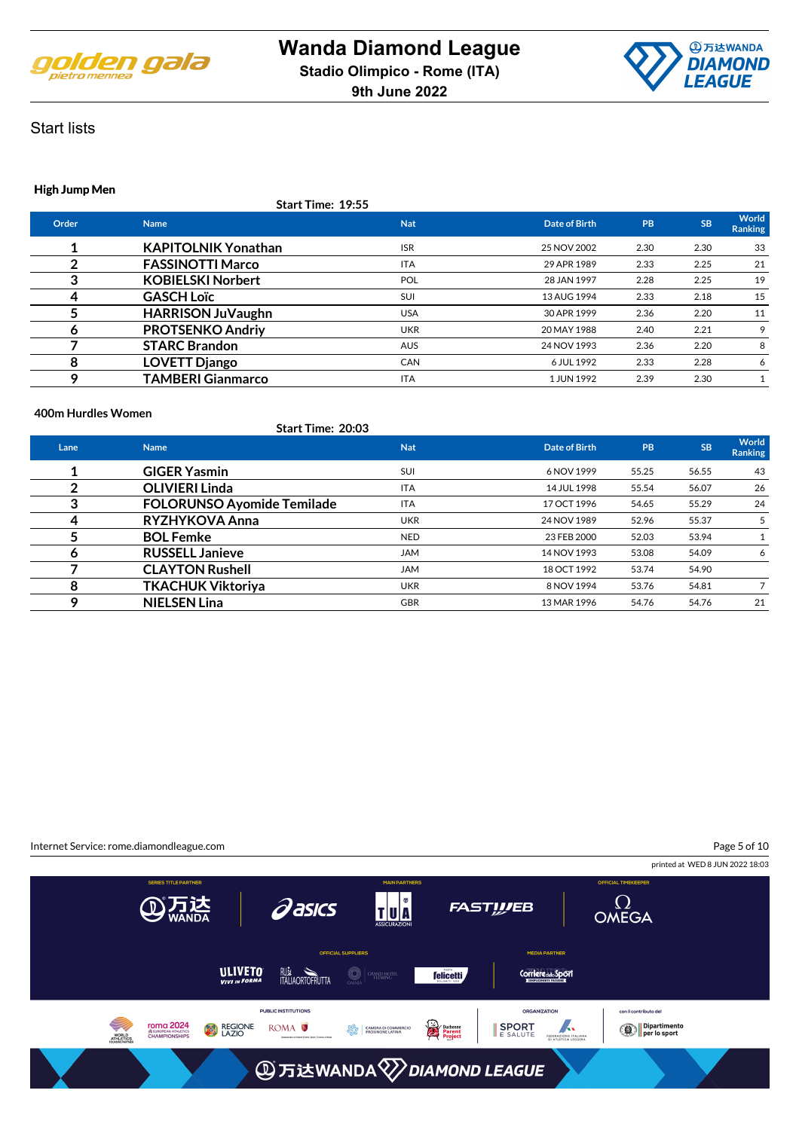



### **High Jump Men**

**Start Time: 19:55**

| Order | <b>Name</b>                | <b>Nat</b> | Date of Birth | PB   | <b>SB</b> | World<br><b>Ranking</b> |
|-------|----------------------------|------------|---------------|------|-----------|-------------------------|
|       | <b>KAPITOLNIK Yonathan</b> | <b>ISR</b> | 25 NOV 2002   | 2.30 | 2.30      | 33                      |
|       | <b>FASSINOTTI Marco</b>    | <b>ITA</b> | 29 APR 1989   | 2.33 | 2.25      | 21                      |
|       | <b>KOBIELSKI Norbert</b>   | <b>POL</b> | 28 JAN 1997   | 2.28 | 2.25      | 19                      |
|       | <b>GASCH Loïc</b>          | <b>SUI</b> | 13 AUG 1994   | 2.33 | 2.18      | 15                      |
|       | <b>HARRISON JuVaughn</b>   | <b>USA</b> | 30 APR 1999   | 2.36 | 2.20      | 11                      |
| O     | <b>PROTSENKO Andriy</b>    | <b>UKR</b> | 20 MAY 1988   | 2.40 | 2.21      | 9                       |
|       | <b>STARC Brandon</b>       | <b>AUS</b> | 24 NOV 1993   | 2.36 | 2.20      | 8                       |
| 8     | <b>LOVETT Django</b>       | <b>CAN</b> | 6 JUL 1992    | 2.33 | 2.28      | 6                       |
|       | <b>TAMBERI Gianmarco</b>   | <b>ITA</b> | 1 JUN 1992    | 2.39 | 2.30      |                         |
|       |                            |            |               |      |           |                         |

#### **400m Hurdles Women**

|      | Start Time: 20:03                 |            |               |       |           |                         |
|------|-----------------------------------|------------|---------------|-------|-----------|-------------------------|
| Lane | <b>Name</b>                       | <b>Nat</b> | Date of Birth | PB    | <b>SB</b> | World<br><b>Ranking</b> |
|      | <b>GIGER Yasmin</b>               | SUI        | 6 NOV 1999    | 55.25 | 56.55     | 43                      |
|      | <b>OLIVIERI Linda</b>             | <b>ITA</b> | 14 JUL 1998   | 55.54 | 56.07     | 26                      |
| 3    | <b>FOLORUNSO Ayomide Temilade</b> | <b>ITA</b> | 17 OCT 1996   | 54.65 | 55.29     | 24                      |
| 4    | RYZHYKOVA Anna                    | <b>UKR</b> | 24 NOV 1989   | 52.96 | 55.37     | 5                       |
|      | <b>BOL Femke</b>                  | <b>NED</b> | 23 FEB 2000   | 52.03 | 53.94     |                         |
| 6    | <b>RUSSELL Janieve</b>            | <b>JAM</b> | 14 NOV 1993   | 53.08 | 54.09     | 6                       |
|      | <b>CLAYTON Rushell</b>            | <b>JAM</b> | 18 OCT 1992   | 53.74 | 54.90     |                         |
| 8    | <b>TKACHUK Viktoriya</b>          | <b>UKR</b> | 8 NOV 1994    | 53.76 | 54.81     |                         |
| Q    | <b>NIELSEN Lina</b>               | <b>GBR</b> | 13 MAR 1996   | 54.76 | 54.76     | 21                      |

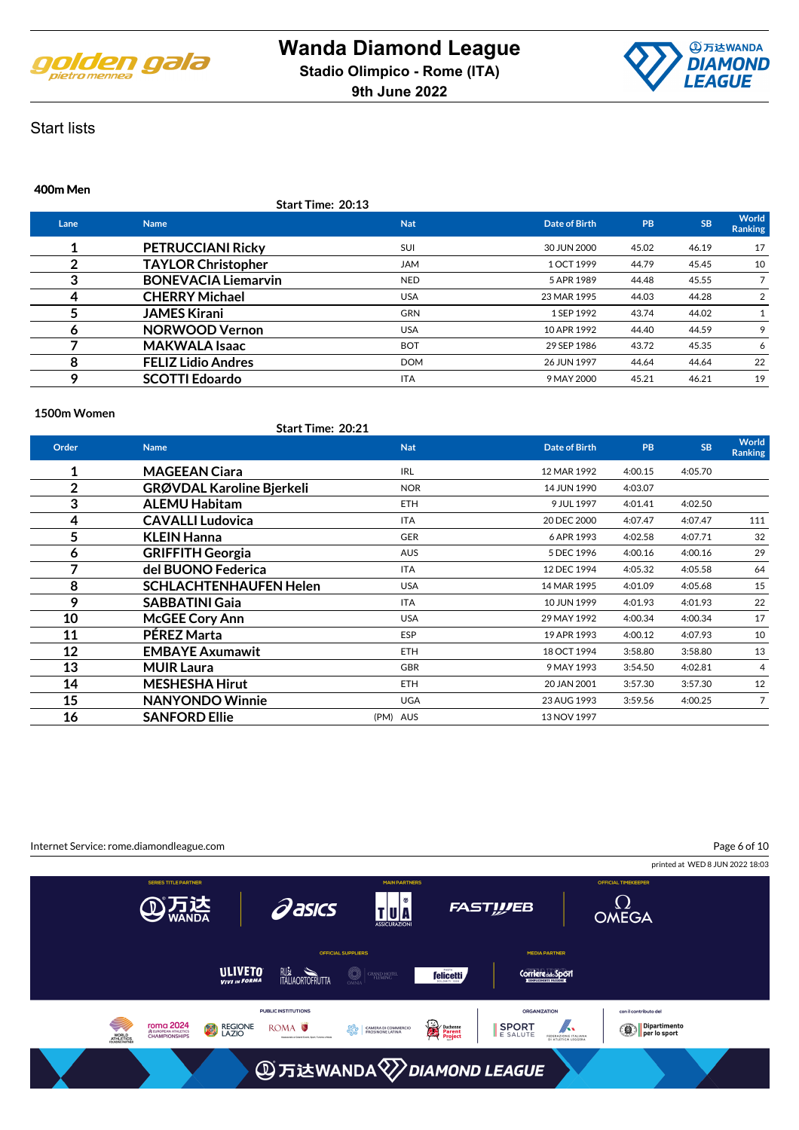



#### **400m Men**

**Start Time: 20:13**

| Lane | <b>Name</b>                | <b>Nat</b> | <b>Date of Birth</b> | PB    | <b>SB</b> | World<br><b>Ranking</b> |
|------|----------------------------|------------|----------------------|-------|-----------|-------------------------|
|      | <b>PETRUCCIANI Ricky</b>   | <b>SUI</b> | 30 JUN 2000          | 45.02 | 46.19     | 17                      |
|      | <b>TAYLOR Christopher</b>  | <b>JAM</b> | 1 OCT 1999           | 44.79 | 45.45     | 10                      |
| 3    | <b>BONEVACIA Liemarvin</b> | <b>NED</b> | 5 APR 1989           | 44.48 | 45.55     |                         |
|      | <b>CHERRY Michael</b>      | <b>USA</b> | 23 MAR 1995          | 44.03 | 44.28     | 2                       |
|      | <b>JAMES Kirani</b>        | <b>GRN</b> | 1 SEP 1992           | 43.74 | 44.02     |                         |
| o    | <b>NORWOOD Vernon</b>      | <b>USA</b> | 10 APR 1992          | 44.40 | 44.59     | 9                       |
|      | <b>MAKWALA Isaac</b>       | <b>BOT</b> | 29 SEP 1986          | 43.72 | 45.35     | 6                       |
| 8    | <b>FELIZ Lidio Andres</b>  | <b>DOM</b> | 26 JUN 1997          | 44.64 | 44.64     | 22                      |
|      | <b>SCOTTI Edoardo</b>      | <b>ITA</b> | 9 MAY 2000           | 45.21 | 46.21     | 19                      |

#### **1500m Women**

|       | <b>Start Time: 20:21</b>         |            |                      |           |           |                                |
|-------|----------------------------------|------------|----------------------|-----------|-----------|--------------------------------|
| Order | <b>Name</b>                      | <b>Nat</b> | <b>Date of Birth</b> | <b>PB</b> | <b>SB</b> | <b>World</b><br><b>Ranking</b> |
| 1     | <b>MAGEEAN Ciara</b>             | <b>IRL</b> | 12 MAR 1992          | 4:00.15   | 4:05.70   |                                |
| 2     | <b>GRØVDAL Karoline Bjerkeli</b> | <b>NOR</b> | 14 JUN 1990          | 4:03.07   |           |                                |
| 3     | <b>ALEMU Habitam</b>             | <b>ETH</b> | 9 JUL 1997           | 4:01.41   | 4:02.50   |                                |
| 4     | <b>CAVALLI Ludovica</b>          | <b>ITA</b> | 20 DEC 2000          | 4:07.47   | 4:07.47   | 111                            |
| 5     | <b>KLEIN Hanna</b>               | <b>GER</b> | 6 APR 1993           | 4:02.58   | 4:07.71   | 32                             |
| 6     | <b>GRIFFITH Georgia</b>          | <b>AUS</b> | 5 DEC 1996           | 4:00.16   | 4:00.16   | 29                             |
| 7     | del BUONO Federica               | <b>ITA</b> | 12 DEC 1994          | 4:05.32   | 4:05.58   | 64                             |
| 8     | <b>SCHLACHTENHAUFEN Helen</b>    | <b>USA</b> | 14 MAR 1995          | 4:01.09   | 4:05.68   | 15                             |
| 9     | <b>SABBATINI Gaia</b>            | <b>ITA</b> | 10 JUN 1999          | 4:01.93   | 4:01.93   | 22                             |
| 10    | <b>McGEE Cory Ann</b>            | <b>USA</b> | 29 MAY 1992          | 4:00.34   | 4:00.34   | 17                             |
| 11    | <b>PEREZ Marta</b>               | <b>ESP</b> | 19 APR 1993          | 4:00.12   | 4:07.93   | 10                             |
| 12    | <b>EMBAYE Axumawit</b>           | ETH.       | 18 OCT 1994          | 3:58.80   | 3:58.80   | 13                             |
| 13    | <b>MUIR Laura</b>                | <b>GBR</b> | 9 MAY 1993           | 3:54.50   | 4:02.81   | 4                              |
| 14    | <b>MESHESHA Hirut</b>            | ETH.       | 20 JAN 2001          | 3:57.30   | 3:57.30   | 12                             |
| 15    | <b>NANYONDO Winnie</b>           | <b>UGA</b> | 23 AUG 1993          | 3:59.56   | 4:00.25   | 7                              |
| 16    | <b>SANFORD Ellie</b>             | (PM) AUS   | 13 NOV 1997          |           |           |                                |

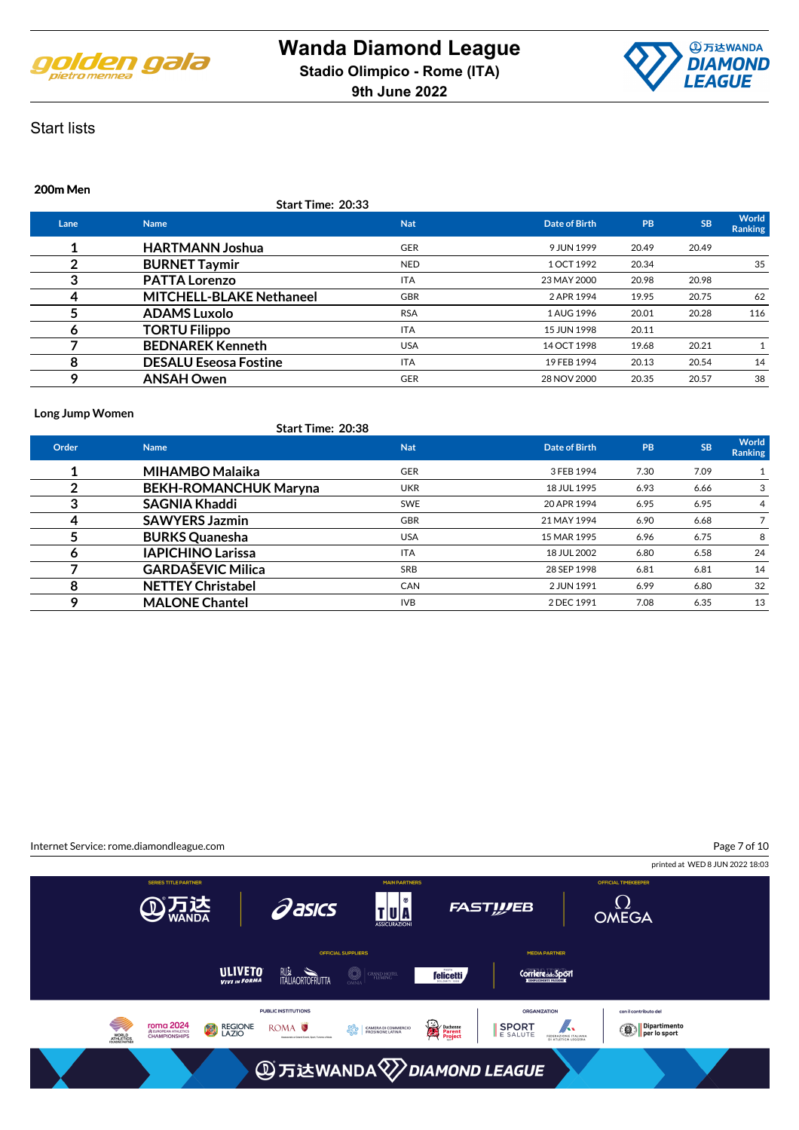



### **200m Men**

**Start Time: 20:33**

| Lane | <b>Name</b>                     | <b>Nat</b> | Date of Birth | PB    | <b>SB</b> | World<br><b>Ranking</b> |
|------|---------------------------------|------------|---------------|-------|-----------|-------------------------|
|      | <b>HARTMANN Joshua</b>          | <b>GER</b> | 9 JUN 1999    | 20.49 | 20.49     |                         |
|      | <b>BURNET Taymir</b>            | <b>NED</b> | 1 OCT 1992    | 20.34 |           | 35                      |
|      | <b>PATTA Lorenzo</b>            | <b>ITA</b> | 23 MAY 2000   | 20.98 | 20.98     |                         |
|      | <b>MITCHELL-BLAKE Nethaneel</b> | <b>GBR</b> | 2 APR 1994    | 19.95 | 20.75     | 62                      |
|      | <b>ADAMS Luxolo</b>             | <b>RSA</b> | 1 AUG 1996    | 20.01 | 20.28     | 116                     |
|      | <b>TORTU Filippo</b>            | <b>ITA</b> | 15 JUN 1998   | 20.11 |           |                         |
|      | <b>BEDNAREK Kenneth</b>         | <b>USA</b> | 14 OCT 1998   | 19.68 | 20.21     |                         |
| 8    | <b>DESALU Eseosa Fostine</b>    | <b>ITA</b> | 19 FEB 1994   | 20.13 | 20.54     | 14                      |
|      | <b>ANSAH Owen</b>               | <b>GER</b> | 28 NOV 2000   | 20.35 | 20.57     | 38                      |

#### **Long Jump Women**

|       | <b>Start Time: 20:38</b>     |            |               |      |           |                         |
|-------|------------------------------|------------|---------------|------|-----------|-------------------------|
| Order | <b>Name</b>                  | <b>Nat</b> | Date of Birth | PB   | <b>SB</b> | World<br><b>Ranking</b> |
|       | <b>MIHAMBO Malaika</b>       | <b>GER</b> | 3 FEB 1994    | 7.30 | 7.09      |                         |
|       | <b>BEKH-ROMANCHUK Maryna</b> | <b>UKR</b> | 18 JUL 1995   | 6.93 | 6.66      | 3                       |
| 3     | <b>SAGNIA Khaddi</b>         | <b>SWE</b> | 20 APR 1994   | 6.95 | 6.95      | 4                       |
| 4     | <b>SAWYERS Jazmin</b>        | <b>GBR</b> | 21 MAY 1994   | 6.90 | 6.68      |                         |
|       | <b>BURKS Quanesha</b>        | <b>USA</b> | 15 MAR 1995   | 6.96 | 6.75      | 8                       |
| 6     | <b>IAPICHINO Larissa</b>     | <b>ITA</b> | 18 JUL 2002   | 6.80 | 6.58      | 24                      |
|       | <b>GARDAŠEVIC Milica</b>     | <b>SRB</b> | 28 SEP 1998   | 6.81 | 6.81      | 14                      |
| 8     | <b>NETTEY Christabel</b>     | <b>CAN</b> | 2 JUN 1991    | 6.99 | 6.80      | 32                      |
| ດ     | <b>MALONE Chantel</b>        | <b>IVB</b> | 2 DEC 1991    | 7.08 | 6.35      | 13                      |

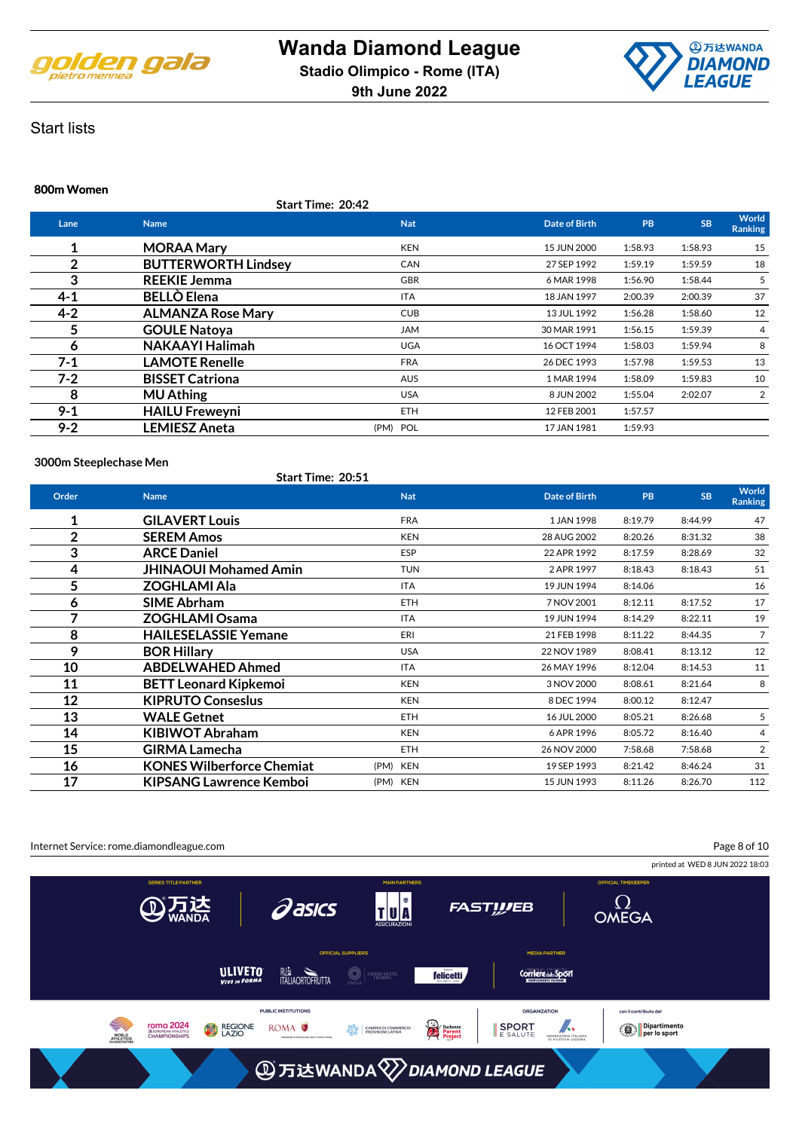



#### **800m Women**

**Start Time: 20:42**

| Lane    | <b>Name</b>                | <b>Nat</b> | Date of Birth | PB      | <b>SB</b> | World<br><b>Ranking</b> |
|---------|----------------------------|------------|---------------|---------|-----------|-------------------------|
| 1       | <b>MORAA Mary</b>          | <b>KEN</b> | 15 JUN 2000   | 1:58.93 | 1:58.93   | 15                      |
| 2       | <b>BUTTERWORTH Lindsey</b> | <b>CAN</b> | 27 SEP 1992   | 1:59.19 | 1:59.59   | 18                      |
| 3       | <b>REEKIE Jemma</b>        | <b>GBR</b> | 6 MAR 1998    | 1:56.90 | 1:58.44   |                         |
| $4 - 1$ | <b>BELLO Elena</b>         | ITA        | 18 JAN 1997   | 2:00.39 | 2:00.39   | 37                      |
| $4 - 2$ | <b>ALMANZA Rose Mary</b>   | <b>CUB</b> | 13 JUL 1992   | 1:56.28 | 1:58.60   | 12                      |
| 5       | <b>GOULE Natoya</b>        | <b>JAM</b> | 30 MAR 1991   | 1:56.15 | 1:59.39   | 4                       |
| 6       | <b>NAKAAYI Halimah</b>     | <b>UGA</b> | 16 OCT 1994   | 1:58.03 | 1:59.94   | 8                       |
| $7-1$   | <b>LAMOTE Renelle</b>      | <b>FRA</b> | 26 DEC 1993   | 1:57.98 | 1:59.53   | 13                      |
| $7-2$   | <b>BISSET Catriona</b>     | <b>AUS</b> | 1 MAR 1994    | 1:58.09 | 1:59.83   | 10                      |
| 8       | <b>MU Athing</b>           | <b>USA</b> | 8 JUN 2002    | 1:55.04 | 2:02.07   | 2                       |
| $9 - 1$ | <b>HAILU Freweyni</b>      | <b>ETH</b> | 12 FEB 2001   | 1:57.57 |           |                         |
| $9 - 2$ | <b>LEMIESZ Aneta</b>       | (PM) POL   | 17 JAN 1981   | 1:59.93 |           |                         |
|         |                            |            |               |         |           |                         |

#### **3000m Steeplechase Men**

**Start Time: 20:51**

| Order          | <b>Name</b>                      | <b>Nat</b> | <b>Date of Birth</b> | <b>PB</b> | <b>SB</b> | World<br><b>Ranking</b> |
|----------------|----------------------------------|------------|----------------------|-----------|-----------|-------------------------|
| 1              | <b>GILAVERT Louis</b>            | <b>FRA</b> | 1 JAN 1998           | 8:19.79   | 8:44.99   | 47                      |
| $\overline{2}$ | <b>SEREM Amos</b>                | <b>KEN</b> | 28 AUG 2002          | 8:20.26   | 8:31.32   | 38                      |
| 3              | <b>ARCE Daniel</b>               | <b>ESP</b> | 22 APR 1992          | 8:17.59   | 8:28.69   | 32                      |
| 4              | <b>JHINAOUI Mohamed Amin</b>     | <b>TUN</b> | 2 APR 1997           | 8:18.43   | 8:18.43   | 51                      |
| 5              | ZOGHLAMI Ala                     | <b>ITA</b> | 19 JUN 1994          | 8:14.06   |           | 16                      |
| 6              | <b>SIME Abrham</b>               | <b>ETH</b> | 7 NOV 2001           | 8:12.11   | 8:17.52   | 17                      |
| 7              | <b>ZOGHLAMI Osama</b>            | ITA        | 19 JUN 1994          | 8:14.29   | 8:22.11   | 19                      |
| 8              | <b>HAILESELASSIE Yemane</b>      | ERI        | 21 FEB 1998          | 8:11.22   | 8:44.35   | $\overline{7}$          |
| 9              | <b>BOR Hillary</b>               | <b>USA</b> | 22 NOV 1989          | 8:08.41   | 8:13.12   | 12                      |
| 10             | <b>ABDELWAHED Ahmed</b>          | <b>ITA</b> | 26 MAY 1996          | 8:12.04   | 8:14.53   | 11                      |
| 11             | <b>BETT Leonard Kipkemoi</b>     | <b>KEN</b> | 3 NOV 2000           | 8:08.61   | 8:21.64   | 8                       |
| 12             | <b>KIPRUTO Conseslus</b>         | <b>KEN</b> | 8 DEC 1994           | 8:00.12   | 8:12.47   |                         |
| 13             | <b>WALE Getnet</b>               | ETH.       | 16 JUL 2000          | 8:05.21   | 8:26.68   | 5                       |
| 14             | <b>KIBIWOT Abraham</b>           | <b>KEN</b> | 6 APR 1996           | 8:05.72   | 8:16.40   | 4                       |
| 15             | <b>GIRMA Lamecha</b>             | <b>ETH</b> | 26 NOV 2000          | 7:58.68   | 7:58.68   | $\overline{2}$          |
| 16             | <b>KONES Wilberforce Chemiat</b> | (PM) KEN   | 19 SEP 1993          | 8:21.42   | 8:46.24   | 31                      |
| 17             | <b>KIPSANG Lawrence Kemboi</b>   | (PM) KEN   | 15 JUN 1993          | 8:11.26   | 8:26.70   | 112                     |

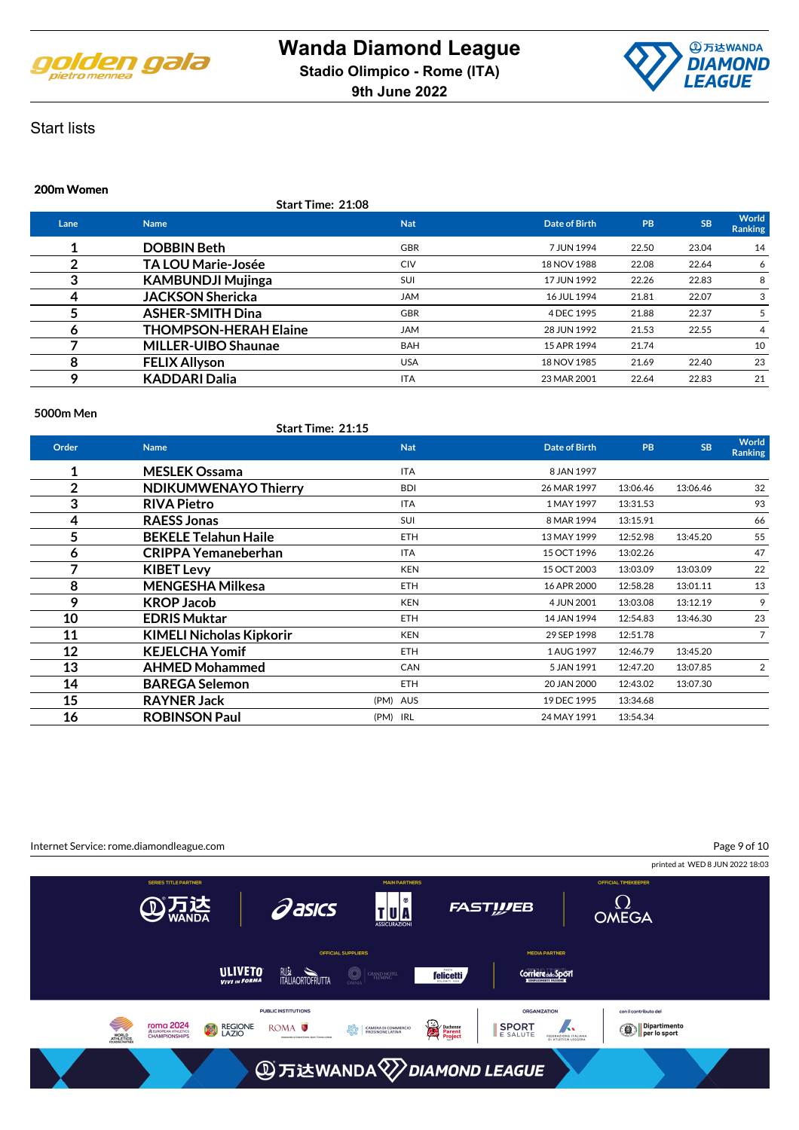



#### **200m Women**

**Start Time: 21:08**

| Lane | <b>Name</b>                  | <b>Nat</b> | Date of Birth | PB    | <b>SB</b> | World<br><b>Ranking</b> |
|------|------------------------------|------------|---------------|-------|-----------|-------------------------|
|      | <b>DOBBIN Beth</b>           | <b>GBR</b> | 7 JUN 1994    | 22.50 | 23.04     | 14                      |
|      | <b>TA LOU Marie-Josée</b>    | <b>CIV</b> | 18 NOV 1988   | 22.08 | 22.64     | 6                       |
| 3    | <b>KAMBUNDJI Mujinga</b>     | <b>SUI</b> | 17 JUN 1992   | 22.26 | 22.83     | 8                       |
|      | <b>JACKSON Shericka</b>      | <b>JAM</b> | 16 JUL 1994   | 21.81 | 22.07     | 3                       |
|      | <b>ASHER-SMITH Dina</b>      | <b>GBR</b> | 4 DEC 1995    | 21.88 | 22.37     | 5                       |
| o    | <b>THOMPSON-HERAH Elaine</b> | <b>JAM</b> | 28 JUN 1992   | 21.53 | 22.55     | 4                       |
|      | <b>MILLER-UIBO Shaunae</b>   | <b>BAH</b> | 15 APR 1994   | 21.74 |           | 10                      |
| 8    | <b>FELIX Allyson</b>         | <b>USA</b> | 18 NOV 1985   | 21.69 | 22.40     | 23                      |
| o    | <b>KADDARI Dalia</b>         | <b>ITA</b> | 23 MAR 2001   | 22.64 | 22.83     | 21                      |
|      |                              |            |               |       |           |                         |

#### **5000m Men**

|       | Start Time: 21:15               |            |                      |           |           |                  |
|-------|---------------------------------|------------|----------------------|-----------|-----------|------------------|
| Order | <b>Name</b>                     | <b>Nat</b> | <b>Date of Birth</b> | <b>PB</b> | <b>SB</b> | World<br>Ranking |
| 1     | <b>MESLEK Ossama</b>            | <b>ITA</b> | 8 JAN 1997           |           |           |                  |
| 2     | <b>NDIKUMWENAYO Thierry</b>     | <b>BDI</b> | 26 MAR 1997          | 13:06.46  | 13:06.46  | 32               |
| 3     | <b>RIVA Pietro</b>              | <b>ITA</b> | 1 MAY 1997           | 13:31.53  |           | 93               |
| 4     | <b>RAESS Jonas</b>              | SUI        | 8 MAR 1994           | 13:15.91  |           | 66               |
| 5     | <b>BEKELE Telahun Haile</b>     | <b>ETH</b> | 13 MAY 1999          | 12:52.98  | 13:45.20  | 55               |
| 6     | <b>CRIPPA Yemaneberhan</b>      | <b>ITA</b> | 15 OCT 1996          | 13:02.26  |           | 47               |
| 7     | <b>KIBET Levy</b>               | <b>KEN</b> | 15 OCT 2003          | 13:03.09  | 13:03.09  | 22               |
| 8     | <b>MENGESHA Milkesa</b>         | ETH.       | 16 APR 2000          | 12:58.28  | 13:01.11  | 13               |
| 9     | <b>KROP Jacob</b>               | <b>KEN</b> | 4 JUN 2001           | 13:03.08  | 13:12.19  | 9                |
| 10    | <b>EDRIS Muktar</b>             | ETH.       | 14 JAN 1994          | 12:54.83  | 13:46.30  | 23               |
| 11    | <b>KIMELI Nicholas Kipkorir</b> | <b>KEN</b> | 29 SEP 1998          | 12:51.78  |           | $\overline{7}$   |
| 12    | <b>KEJELCHA Yomif</b>           | <b>ETH</b> | 1 AUG 1997           | 12:46.79  | 13:45.20  |                  |
| 13    | <b>AHMED Mohammed</b>           | <b>CAN</b> | 5 JAN 1991           | 12:47.20  | 13:07.85  | 2                |
| 14    | <b>BAREGA Selemon</b>           | <b>ETH</b> | 20 JAN 2000          | 12:43.02  | 13:07.30  |                  |
| 15    | <b>RAYNER Jack</b>              | (PM) AUS   | 19 DEC 1995          | 13:34.68  |           |                  |
| 16    | <b>ROBINSON Paul</b>            | (PM) IRL   | 24 MAY 1991          | 13:54.34  |           |                  |